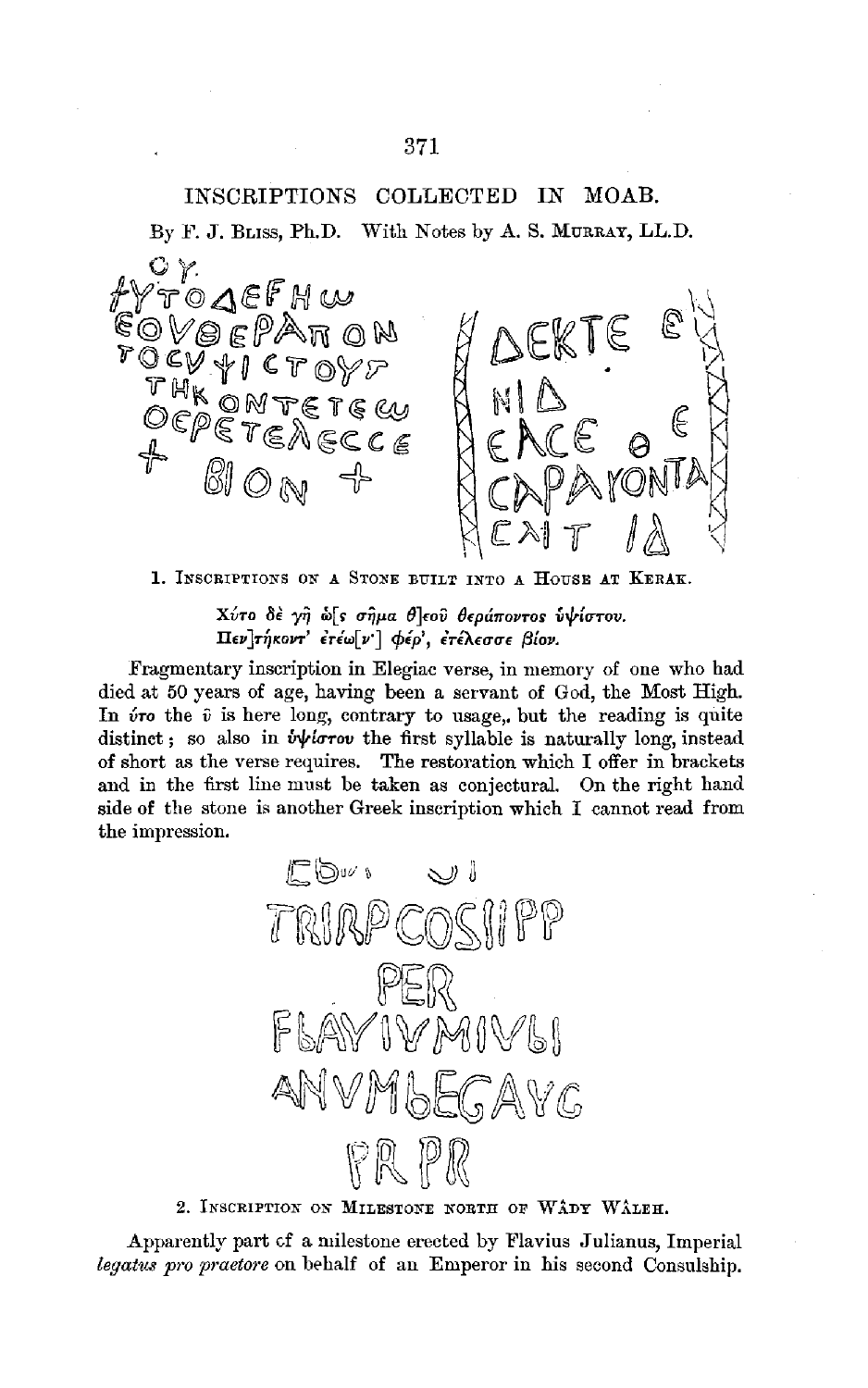## INSCRIPTIONS COLLECTED IN MOAB.



1. INSCRIPTIONS ON A STONE BUILT INTO A HOUSE AT KERAK.

Χύτο δέ γη ώ[ς σημα θ]εού θεράποντος ύψίστου. Πεν τήκοντ' ετέω ν' φέρ', ετέλεσσε βίον.

Fragmentary inscription in Elegiac verse, in memory of one who had died at 50 years of age, having been a servant of God, the Most High. In  $\acute{v}$  ro the  $\hat{v}$  is here long, contrary to usage, but the reading is quite distinct; so also in  $\dot{v}\dot{\psi}$  for  $\dot{v}$  the first syllable is naturally long, instead of short as the verse requires. The restoration which I offer in brackets and in the first line must be taken as conjectural. On the right hand side of the stone is another Greek inscription which I cannot read from the impression.



2. INSCRIPTION ON MILESTONE NORTH OF WADY WALEH.

Apparently part of a milestone erected by Flavius Julianus, Imperial legatus pro praetore on behalf of an Emperor in his second Consulship.